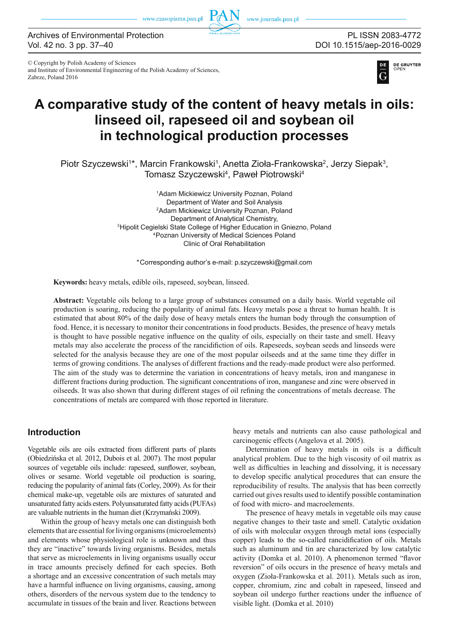www.czasopisma.pan.pl

www.journals.pan.pl

and Institute of Environmental Engineering of the Polish Academy of Sciences,

© Copyright by Polish Academy of Sciences

Zabrze, Poland 2016

PL ISSN 2083-4772 DOI 10.1515/aep-2016-0029

**DE GRUYTER** 

# **A comparative study of the content of heavy metals in oils: linseed oil, rapeseed oil and soybean oil in technological production processes**

Piotr Szyczewski<sup>1\*</sup>, Marcin Frankowski<sup>1</sup>, Anetta Zioła-Frankowska<sup>2</sup>, Jerzy Siepak<sup>3</sup>, Tomasz Szyczewski<sup>4</sup>, Paweł Piotrowski<sup>4</sup>

> 1Adam Mickiewicz University Poznan, Poland Department of Water and Soil Analysis <sup>2</sup> Adam Mickiewicz University Poznan, Poland Department of Analytical Chemistry, 3Hipolit Cegielski State College of Higher Education in Gniezno, Poland 4Poznan University of Medical Sciences Poland Clinic of Oral Rehabilitation

\*Corresponding author's e-mail: p.szyczewski@gmail.com

**Keywords:** heavy metals, edible oils, rapeseed, soybean, linseed.

**Abstract:** Vegetable oils belong to a large group of substances consumed on a daily basis. World vegetable oil production is soaring, reducing the popularity of animal fats. Heavy metals pose a threat to human health. It is estimated that about 80% of the daily dose of heavy metals enters the human body through the consumption of food. Hence, it is necessary to monitor their concentrations in food products. Besides, the presence of heavy metals is thought to have possible negative influence on the quality of oils, especially on their taste and smell. Heavy metals may also accelerate the process of the rancidifiction of oils. Rapeseeds, soybean seeds and linseeds were selected for the analysis because they are one of the most popular oilseeds and at the same time they differ in terms of growing conditions. The analyses of different fractions and the ready-made product were also performed. The aim of the study was to determine the variation in concentrations of heavy metals, iron and manganese in different fractions during production. The significant concentrations of iron, manganese and zinc were observed in oilseeds. It was also shown that during different stages of oil refining the concentrations of metals decrease. The concentrations of metals are compared with those reported in literature.

## **Introduction**

Vegetable oils are oils extracted from different parts of plants (Obiedzińska et al. 2012, Dubois et al. 2007). The most popular sources of vegetable oils include: rapeseed, sunflower, soybean, olives or sesame. World vegetable oil production is soaring, reducing the popularity of animal fats (Corley, 2009). As for their chemical make-up, vegetable oils are mixtures of saturated and unsaturated fatty acids esters. Polyunsaturated fatty acids (PUFAs) are valuable nutrients in the human diet (Krzymański 2009).

Within the group of heavy metals one can distinguish both elements that are essential for living organisms (microelements) and elements whose physiological role is unknown and thus they are "inactive" towards living organisms. Besides, metals that serve as microelements in living organisms usually occur in trace amounts precisely defined for each species. Both a shortage and an excessive concentration of such metals may have a harmful influence on living organisms, causing, among others, disorders of the nervous system due to the tendency to accumulate in tissues of the brain and liver. Reactions between

heavy metals and nutrients can also cause pathological and carcinogenic effects (Angelova et al. 2005).

Determination of heavy metals in oils is a difficult analytical problem. Due to the high viscosity of oil matrix as well as difficulties in leaching and dissolving, it is necessary to develop specific analytical procedures that can ensure the reproducibility of results. The analysis that has been correctly carried out gives results used to identify possible contamination of food with micro- and macroelements.

The presence of heavy metals in vegetable oils may cause negative changes to their taste and smell. Catalytic oxidation of oils with molecular oxygen through metal ions (especially copper) leads to the so-called rancidification of oils. Metals such as aluminum and tin are characterized by low catalytic activity (Domka et al. 2010). A phenomenon termed "flavor reversion" of oils occurs in the presence of heavy metals and oxygen (Zioła-Frankowska et al. 2011). Metals such as iron, copper, chromium, zinc and cobalt in rapeseed, linseed and soybean oil undergo further reactions under the influence of visible light. (Domka et al. 2010)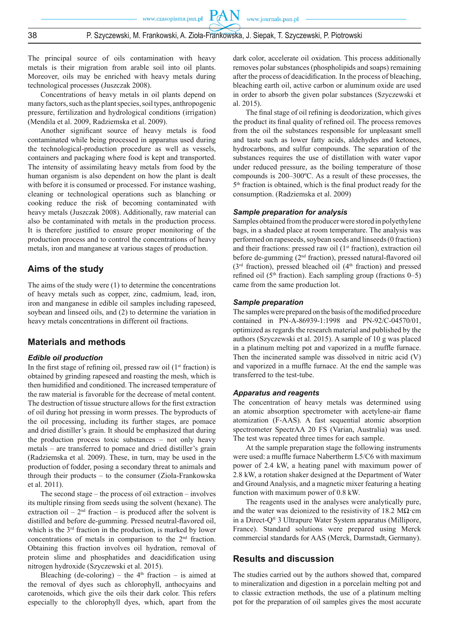## 38 P. Szyczewski, M. Frankowski, A. Zioła-Frankowska, J. Siepak, T. Szyczewski, P. Piotrowski

**PAN** 

The principal source of oils contamination with heavy metals is their migration from arable soil into oil plants. Moreover, oils may be enriched with heavy metals during technological processes (Juszczak 2008).

Concentrations of heavy metals in oil plants depend on many factors, such as the plant species, soil types, anthropogenic pressure, fertilization and hydrological conditions (irrigation) (Mendila et al. 2009, Radziemska et al. 2009).

Another significant source of heavy metals is food contaminated while being processed in apparatus used during the technological-production procedure as well as vessels, containers and packaging where food is kept and transported. The intensity of assimilating heavy metals from food by the human organism is also dependent on how the plant is dealt with before it is consumed or processed. For instance washing, cleaning or technological operations such as blanching or cooking reduce the risk of becoming contaminated with heavy metals (Juszczak 2008). Additionally, raw material can also be contaminated with metals in the production process. It is therefore justified to ensure proper monitoring of the production process and to control the concentrations of heavy metals, iron and manganese at various stages of production.

## **Aims of the study**

The aims of the study were (1) to determine the concentrations of heavy metals such as copper, zinc, cadmium, lead, iron, iron and manganese in edible oil samples including rapeseed, soybean and linseed oils, and (2) to determine the variation in heavy metals concentrations in different oil fractions.

## **Materials and methods**

### *Edible oil production*

In the first stage of refining oil, pressed raw oil  $(1<sup>st</sup> fraction)$  is obtained by grinding rapeseed and roasting the mesh, which is then humidified and conditioned. The increased temperature of the raw material is favorable for the decrease of metal content. The destruction of tissue structure allows for the first extraction of oil during hot pressing in worm presses. The byproducts of the oil processing, including its further stages, are pomace and dried distiller's grain. It should be emphasized that during the production process toxic substances – not only heavy metals – are transferred to pomace and dried distiller's grain (Radziemska et al. 2009). These, in turn, may be used in the production of fodder, posing a secondary threat to animals and through their products – to the consumer (Zioła-Frankowska et al. 2011).

The second stage – the process of oil extraction – involves its multiple rinsing from seeds using the solvent (hexane). The extraction oil –  $2<sup>nd</sup>$  fraction – is produced after the solvent is distilled and before de-gumming. Pressed neutral-flavored oil, which is the 3<sup>rd</sup> fraction in the production, is marked by lower concentrations of metals in comparison to the 2nd fraction. Obtaining this fraction involves oil hydration, removal of protein slime and phosphatides and deacidification using nitrogen hydroxide (Szyczewski et al. 2015).

Bleaching (de-coloring) – the  $4<sup>th</sup>$  fraction – is aimed at the removal of dyes such as chlorophyll, anthocyains and carotenoids, which give the oils their dark color. This refers especially to the chlorophyll dyes, which, apart from the

dark color, accelerate oil oxidation. This process additionally removes polar substances (phospholipids and soaps) remaining after the process of deacidification. In the process of bleaching, bleaching earth oil, active carbon or aluminum oxide are used in order to absorb the given polar substances (Szyczewski et al. 2015).

The final stage of oil refining is deodorization, which gives the product its final quality of refined oil. The process removes from the oil the substances responsible for unpleasant smell and taste such as lower fatty acids, aldehydes and ketones, hydrocarbons, and sulfur compounds. The separation of the substances requires the use of distillation with water vapor under reduced pressure, as the boiling temperature of those compounds is 200–300ºC. As a result of these processes, the  $5<sup>th</sup>$  fraction is obtained, which is the final product ready for the consumption. (Radziemska et al. 2009)

#### *Sample preparation for analysis*

Samples obtained from the producer were stored in polyethylene bags, in a shaded place at room temperature. The analysis was performed on rapeseeds, soybean seeds and linseeds (0 fraction) and their fractions: pressed raw oil (1<sup>st</sup> fraction), extraction oil before de-gumming (2<sup>nd</sup> fraction), pressed natural-flavored oil (3rd fraction), pressed bleached oil (4th fraction) and pressed refined oil ( $5<sup>th</sup>$  fraction). Each sampling group (fractions  $0-5$ ) came from the same production lot.

#### *Sample preparation*

The samples were prepared on the basis of the modified procedure contained in PN-A-86939-1:1998 and PN-92/C-04570/01, optimized as regards the research material and published by the authors (Szyczewski et al. 2015). A sample of 10 g was placed in a platinum melting pot and vaporized in a muffle furnace. Then the incinerated sample was dissolved in nitric acid (V) and vaporized in a muffle furnace. At the end the sample was transferred to the test-tube.

#### *Apparatus and reagents*

The concentration of heavy metals was determined using an atomic absorption spectrometer with acetylene-air flame atomization (F-AAS). A fast sequential atomic absorption spectrometer SpectrAA 20 FS (Varian, Australia) was used. The test was repeated three times for each sample.

At the sample preparation stage the following instruments were used: a muffle furnace Nabertherm L5/C6 with maximum power of 2.4 kW, a heating panel with maximum power of 2.8 kW, a rotation shaker designed at the Department of Water and Ground Analysis, and a magnetic mixer featuring a heating function with maximum power of 0.8 kW.

The reagents used in the analyses were analytically pure, and the water was deionized to the resistivity of  $18.2 \text{ M}\Omega$ ·cm in a Direct-Q® 3 Ultrapure Water System apparatus (Millipore, France). Standard solutions were prepared using Merck commercial standards for AAS (Merck, Darmstadt, Germany).

## **Results and discussion**

The studies carried out by the authors showed that, compared to mineralization and digestion in a porcelain melting pot and to classic extraction methods, the use of a platinum melting pot for the preparation of oil samples gives the most accurate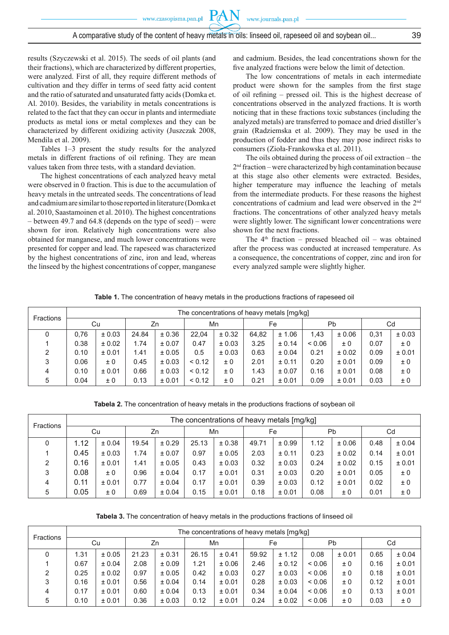www.czasopisma.pan.pl

PA

results (Szyczewski et al. 2015). The seeds of oil plants (and their fractions), which are characterized by different properties, were analyzed. First of all, they require different methods of cultivation and they differ in terms of seed fatty acid content and the ratio of saturated and unsaturated fatty acids (Domka et. Al. 2010). Besides, the variability in metals concentrations is related to the fact that they can occur in plants and intermediate products as metal ions or metal complexes and they can be characterized by different oxidizing activity (Juszczak 2008, Mendila et al. 2009).

Tables 1–3 present the study results for the analyzed metals in different fractions of oil refining. They are mean values taken from three tests, with a standard deviation.

The highest concentrations of each analyzed heavy metal were observed in 0 fraction. This is due to the accumulation of heavy metals in the untreated seeds. The concentrations of lead and cadmium are similar to those reported in literature (Domka et al. 2010, Saastamoinen et al. 2010). The highest concentrations – between 49.7 and 64.8 (depends on the type of seed) – were shown for iron. Relatively high concentrations were also obtained for manganese, and much lower concentrations were presented for copper and lead. The rapeseed was characterized by the highest concentrations of zinc, iron and lead, whereas the linseed by the highest concentrations of copper, manganese and cadmium. Besides, the lead concentrations shown for the five analyzed fractions were below the limit of detection.

The low concentrations of metals in each intermediate product were shown for the samples from the first stage of oil refining – pressed oil. This is the highest decrease of concentrations observed in the analyzed fractions. It is worth noticing that in these fractions toxic substances (including the analyzed metals) are transferred to pomace and dried distiller's grain (Radziemska et al. 2009). They may be used in the production of fodder and thus they may pose indirect risks to consumers (Zioła-Frankowska et al. 2011).

The oils obtained during the process of oil extraction – the  $2<sup>nd</sup> fraction – were characterized by high contamination because$ at this stage also other elements were extracted. Besides, higher temperature may influence the leaching of metals from the intermediate products. For these reasons the highest concentrations of cadmium and lead were observed in the 2nd fractions. The concentrations of other analyzed heavy metals were slightly lower. The significant lower concentrations were shown for the next fractions.

The  $4<sup>th</sup>$  fraction – pressed bleached oil – was obtained after the process was conducted at increased temperature. As a consequence, the concentrations of copper, zinc and iron for every analyzed sample were slightly higher.

**Table 1.** The concentration of heavy metals in the productions fractions of rapeseed oil

| <b>Fractions</b> | The concentrations of heavy metals [mq/kq] |         |       |        |        |         |       |        |      |         |      |        |
|------------------|--------------------------------------------|---------|-------|--------|--------|---------|-------|--------|------|---------|------|--------|
|                  | Cu                                         |         | Zn    |        | Mn     |         | Fe    |        | Pb   |         | Cd   |        |
| 0                | 0.76                                       | ± 0.03  | 24.84 | ± 0.36 | 22.04  | ± 0.32  | 64.82 | ± 1.06 | 1.43 | ± 0.06  | 0.31 | ± 0.03 |
|                  | 0.38                                       | ± 0.02  | 1.74  | ± 0.07 | 0.47   | ± 0.03  | 3.25  | ± 0.14 | 0.06 | $\pm 0$ | 0.07 | ±0     |
| 2                | 0.10                                       | ± 0.01  | 1.41  | ± 0.05 | 0.5    | ± 0.03  | 0.63  | ± 0.04 | 0.21 | ± 0.02  | 0.09 | ± 0.01 |
| 3                | 0.06                                       | $\pm 0$ | 0.45  | ± 0.03 | < 0.12 | $\pm 0$ | 2.01  | ± 0.11 | 0.20 | ± 0.01  | 0.09 | ± 0    |
| 4                | 0.10                                       | ± 0.01  | 0.66  | ± 0.03 | < 0.12 | $\pm 0$ | 1.43  | ± 0.07 | 0.16 | ± 0.01  | 0.08 | ± 0    |
| 5                | 0.04                                       | $\pm 0$ | 0.13  | ± 0.01 | < 0.12 | $\pm 0$ | 0.21  | ± 0.01 | 0.09 | ± 0.01  | 0.03 | ±0     |

**Tabela 2.** The concentration of heavy metals in the productions fractions of soybean oil

| <b>Fractions</b> | The concentrations of heavy metals [mg/kg] |         |       |        |       |        |       |        |      |         |      |         |
|------------------|--------------------------------------------|---------|-------|--------|-------|--------|-------|--------|------|---------|------|---------|
|                  | Cu                                         |         | Zn    |        | Mn    |        | Fe    |        | Pb   |         | Cd   |         |
| 0                | 1.12                                       | ± 0.04  | 19.54 | ± 0.29 | 25.13 | ± 0.38 | 49.71 | ± 0.99 | 1.12 | ±0.06   | 0.48 | ± 0.04  |
|                  | 0.45                                       | ± 0.03  | 1.74  | ± 0.07 | 0.97  | ± 0.05 | 2.03  | ± 0.11 | 0.23 | ± 0.02  | 0.14 | ± 0.01  |
| 2                | 0.16                                       | ± 0.01  | 1.41  | ± 0.05 | 0.43  | ± 0.03 | 0.32  | ± 0.03 | 0.24 | ± 0.02  | 0.15 | ± 0.01  |
| 3                | 0.08                                       | $\pm 0$ | 0.96  | ± 0.04 | 0.17  | ± 0.01 | 0.31  | ± 0.03 | 0.20 | ± 0.01  | 0.05 | $\pm 0$ |
| 4                | 0.11                                       | ± 0.01  | 0.77  | ± 0.04 | 0.17  | ± 0.01 | 0.39  | ± 0.03 | 0.12 | ± 0.01  | 0.02 | ±0      |
| 5                | 0.05                                       | $\pm 0$ | 0.69  | ± 0.04 | 0.15  | ± 0.01 | 0.18  | ± 0.01 | 0.08 | $\pm 0$ | 0.01 | $\pm 0$ |

**Tabela 3.** The concentration of heavy metals in the productions fractions of linseed oil

| Fractions | The concentrations of heavy metals [mg/kg] |        |       |        |       |        |       |        |      |         |      |        |
|-----------|--------------------------------------------|--------|-------|--------|-------|--------|-------|--------|------|---------|------|--------|
|           | Cu                                         |        | Zn    |        | Mn    |        | Fe    |        | Pb   |         | Cd   |        |
| 0         | 1.31                                       | ± 0.05 | 21.23 | ± 0.31 | 26.15 | ± 0.41 | 59.92 | ± 1.12 | 0.08 | ± 0.01  | 0.65 | ± 0.04 |
|           | 0.67                                       | ± 0.04 | 2.08  | ± 0.09 | 1.21  | ± 0.06 | 2.46  | ± 0.12 | 0.06 | $\pm 0$ | 0.16 | ± 0.01 |
| 2         | 0.25                                       | ± 0.02 | 0.97  | ± 0.05 | 0.42  | ± 0.03 | 0.27  | ± 0.03 | 0.06 | ± 0     | 0.18 | ± 0.01 |
| 3         | 0.16                                       | ± 0.01 | 0.56  | ± 0.04 | 0.14  | ± 0.01 | 0.28  | ± 0.03 | 0.06 | ± 0     | 0.12 | ± 0.01 |
| 4         | 0.17                                       | ± 0.01 | 0.60  | ± 0.04 | 0.13  | ± 0.01 | 0.34  | ± 0.04 | 0.06 | $\pm 0$ | 0.13 | ± 0.01 |
| 5         | 0.10                                       | ± 0.01 | 0.36  | ± 0.03 | 0.12  | ± 0.01 | 0.24  | ± 0.02 | 0.06 | ± 0     | 0.03 | ± 0    |